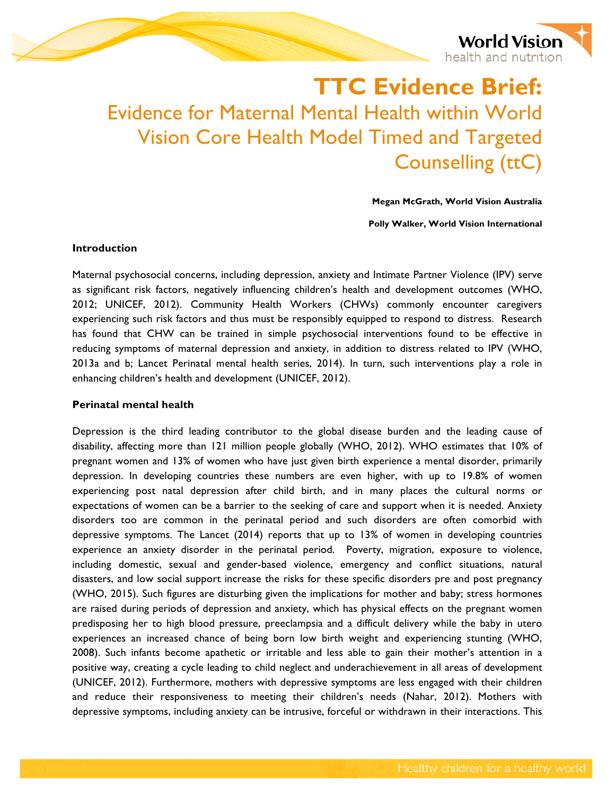

# **TTC Evidence Brief:**  Evidence for Maternal Mental Health within World Vision Core Health Model Timed and Targeted Counselling (ttC)

**Megan McGrath, World Vision Australia**

**Polly Walker, World Vision International**

### **Introduction**

Maternal psychosocial concerns, including depression, anxiety and Intimate Partner Violence (IPV) serve as significant risk factors, negatively influencing children's health and development outcomes (WHO, 2012; UNICEF, 2012). Community Health Workers (CHWs) commonly encounter caregivers experiencing such risk factors and thus must be responsibly equipped to respond to distress. Research has found that CHW can be trained in simple psychosocial interventions found to be effective in reducing symptoms of maternal depression and anxiety, in addition to distress related to IPV (WHO, 2013a and b; Lancet Perinatal mental health series, 2014). In turn, such interventions play a role in enhancing children's health and development (UNICEF, 2012).

## **Perinatal mental health**

Depression is the third leading contributor to the global disease burden and the leading cause of disability, affecting more than 121 million people globally (WHO, 2012). WHO estimates that 10% of pregnant women and 13% of women who have just given birth experience a mental disorder, primarily depression. In developing countries these numbers are even higher, with up to 19.8% of women experiencing post natal depression after child birth, and in many places the cultural norms or expectations of women can be a barrier to the seeking of care and support when it is needed. Anxiety disorders too are common in the perinatal period and such disorders are often comorbid with depressive symptoms. The Lancet (2014) reports that up to 13% of women in developing countries experience an anxiety disorder in the perinatal period. Poverty, migration, exposure to violence, including domestic, sexual and gender-based violence, emergency and conflict situations, natural disasters, and low social support increase the risks for these specific disorders pre and post pregnancy (WHO, 2015). Such figures are disturbing given the implications for mother and baby; stress hormones are raised during periods of depression and anxiety, which has physical effects on the pregnant women predisposing her to high blood pressure, preeclampsia and a difficult delivery while the baby in utero experiences an increased chance of being born low birth weight and experiencing stunting (WHO, 2008). Such infants become apathetic or irritable and less able to gain their mother's attention in a positive way, creating a cycle leading to child neglect and underachievement in all areas of development (UNICEF, 2012). Furthermore, mothers with depressive symptoms are less engaged with their children and reduce their responsiveness to meeting their children's needs (Nahar, 2012). Mothers with depressive symptoms, including anxiety can be intrusive, forceful or withdrawn in their interactions. This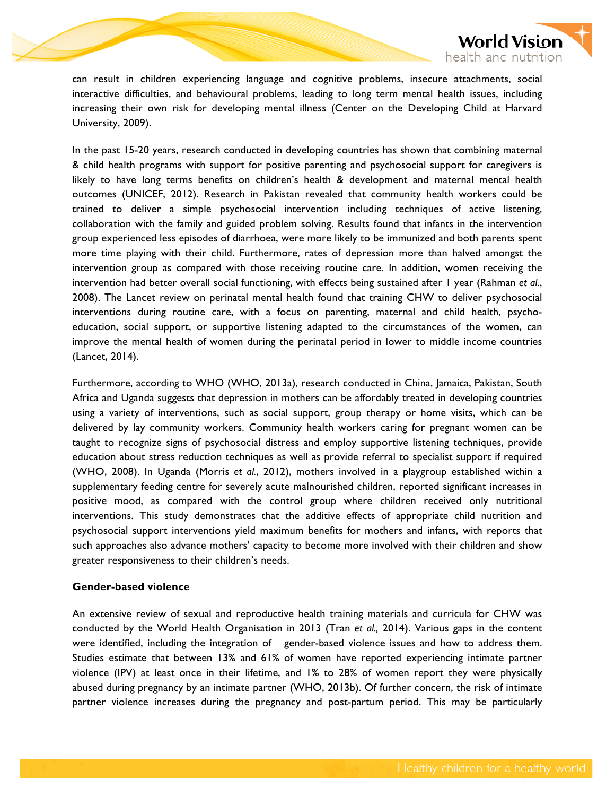

can result in children experiencing language and cognitive problems, insecure attachments, social interactive difficulties, and behavioural problems, leading to long term mental health issues, including increasing their own risk for developing mental illness (Center on the Developing Child at Harvard University, 2009).

In the past 15-20 years, research conducted in developing countries has shown that combining maternal & child health programs with support for positive parenting and psychosocial support for caregivers is likely to have long terms benefits on children's health & development and maternal mental health outcomes (UNICEF, 2012). Research in Pakistan revealed that community health workers could be trained to deliver a simple psychosocial intervention including techniques of active listening, collaboration with the family and guided problem solving. Results found that infants in the intervention group experienced less episodes of diarrhoea, were more likely to be immunized and both parents spent more time playing with their child. Furthermore, rates of depression more than halved amongst the intervention group as compared with those receiving routine care. In addition, women receiving the intervention had better overall social functioning, with effects being sustained after 1 year (Rahman *et al*., 2008). The Lancet review on perinatal mental health found that training CHW to deliver psychosocial interventions during routine care, with a focus on parenting, maternal and child health, psychoeducation, social support, or supportive listening adapted to the circumstances of the women, can improve the mental health of women during the perinatal period in lower to middle income countries (Lancet, 2014).

Furthermore, according to WHO (WHO, 2013a), research conducted in China, Jamaica, Pakistan, South Africa and Uganda suggests that depression in mothers can be affordably treated in developing countries using a variety of interventions, such as social support, group therapy or home visits, which can be delivered by lay community workers. Community health workers caring for pregnant women can be taught to recognize signs of psychosocial distress and employ supportive listening techniques, provide education about stress reduction techniques as well as provide referral to specialist support if required (WHO, 2008). In Uganda (Morris *et al.*, 2012), mothers involved in a playgroup established within a supplementary feeding centre for severely acute malnourished children, reported significant increases in positive mood, as compared with the control group where children received only nutritional interventions. This study demonstrates that the additive effects of appropriate child nutrition and psychosocial support interventions yield maximum benefits for mothers and infants, with reports that such approaches also advance mothers' capacity to become more involved with their children and show greater responsiveness to their children's needs.

#### **Gender-based violence**

An extensive review of sexual and reproductive health training materials and curricula for CHW was conducted by the World Health Organisation in 2013 (Tran *et al.,* 2014). Various gaps in the content were identified, including the integration of gender-based violence issues and how to address them. Studies estimate that between 13% and 61% of women have reported experiencing intimate partner violence (IPV) at least once in their lifetime, and 1% to 28% of women report they were physically abused during pregnancy by an intimate partner (WHO, 2013b). Of further concern, the risk of intimate partner violence increases during the pregnancy and post-partum period. This may be particularly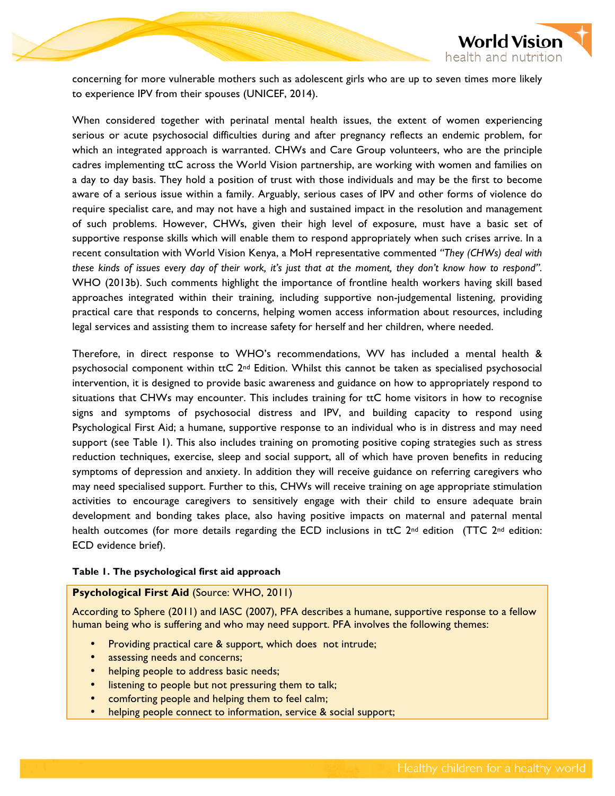

concerning for more vulnerable mothers such as adolescent girls who are up to seven times more likely to experience IPV from their spouses (UNICEF, 2014).

When considered together with perinatal mental health issues, the extent of women experiencing serious or acute psychosocial difficulties during and after pregnancy reflects an endemic problem, for which an integrated approach is warranted. CHWs and Care Group volunteers, who are the principle cadres implementing ttC across the World Vision partnership, are working with women and families on a day to day basis. They hold a position of trust with those individuals and may be the first to become aware of a serious issue within a family. Arguably, serious cases of IPV and other forms of violence do require specialist care, and may not have a high and sustained impact in the resolution and management of such problems. However, CHWs, given their high level of exposure, must have a basic set of supportive response skills which will enable them to respond appropriately when such crises arrive. In a recent consultation with World Vision Kenya, a MoH representative commented *"They (CHWs) deal with these kinds of issues every day of their work, it's just that at the moment, they don't know how to respond".*  WHO (2013b). Such comments highlight the importance of frontline health workers having skill based approaches integrated within their training, including supportive non-judgemental listening, providing practical care that responds to concerns, helping women access information about resources, including legal services and assisting them to increase safety for herself and her children, where needed.

Therefore, in direct response to WHO's recommendations, WV has included a mental health & psychosocial component within tt $C$   $2^{nd}$  Edition. Whilst this cannot be taken as specialised psychosocial intervention, it is designed to provide basic awareness and guidance on how to appropriately respond to situations that CHWs may encounter. This includes training for ttC home visitors in how to recognise signs and symptoms of psychosocial distress and IPV, and building capacity to respond using Psychological First Aid; a humane, supportive response to an individual who is in distress and may need support (see Table 1). This also includes training on promoting positive coping strategies such as stress reduction techniques, exercise, sleep and social support, all of which have proven benefits in reducing symptoms of depression and anxiety. In addition they will receive guidance on referring caregivers who may need specialised support. Further to this, CHWs will receive training on age appropriate stimulation activities to encourage caregivers to sensitively engage with their child to ensure adequate brain development and bonding takes place, also having positive impacts on maternal and paternal mental health outcomes (for more details regarding the ECD inclusions in ttC  $2^{nd}$  edition (TTC  $2^{nd}$  edition: ECD evidence brief).

#### **Table 1. The psychological first aid approach**

## **Psychological First Aid** (Source: WHO, 2011)

According to Sphere (2011) and IASC (2007), PFA describes a humane, supportive response to a fellow human being who is suffering and who may need support. PFA involves the following themes:

- Providing practical care & support, which does not intrude;
- assessing needs and concerns;
- helping people to address basic needs;
- listening to people but not pressuring them to talk;
- comforting people and helping them to feel calm;
- helping people connect to information, service & social support;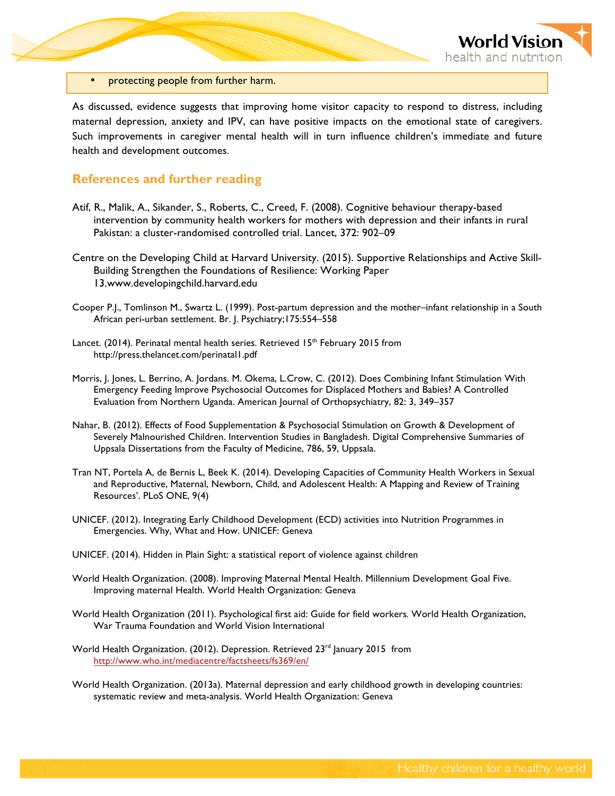

• protecting people from further harm.

As discussed, evidence suggests that improving home visitor capacity to respond to distress, including maternal depression, anxiety and IPV, can have positive impacts on the emotional state of caregivers. Such improvements in caregiver mental health will in turn influence children's immediate and future health and development outcomes.

## **References and further reading**

- Atif, R., Malik, A., Sikander, S., Roberts, C., Creed, F. (2008). Cognitive behaviour therapy-based intervention by community health workers for mothers with depression and their infants in rural Pakistan: a cluster-randomised controlled trial. Lancet, 372: 902–09
- Centre on the Developing Child at Harvard University. (2015). Supportive Relationships and Active Skill-Building Strengthen the Foundations of Resilience: Working Paper 13.www.developingchild.harvard.edu
- Cooper P.J., Tomlinson M., Swartz L. (1999). Post-partum depression and the mother–infant relationship in a South African peri-urban settlement. Br. J. Psychiatry;175:554–558
- Lancet. (2014). Perinatal mental health series. Retrieved  $15<sup>th</sup>$  February 2015 from http://press.thelancet.com/perinatal1.pdf
- Morris, J. Jones, L. Berrino, A. Jordans. M. Okema, L.Crow, C. (2012). Does Combining Infant Stimulation With Emergency Feeding Improve Psychosocial Outcomes for Displaced Mothers and Babies? A Controlled Evaluation from Northern Uganda. American Journal of Orthopsychiatry, 82: 3, 349–357
- Nahar, B. (2012). Effects of Food Supplementation & Psychosocial Stimulation on Growth & Development of Severely Malnourished Children. Intervention Studies in Bangladesh. Digital Comprehensive Summaries of Uppsala Dissertations from the Faculty of Medicine, 786, 59, Uppsala.
- Tran NT, Portela A, de Bernis L, Beek K. (2014). Developing Capacities of Community Health Workers in Sexual and Reproductive, Maternal, Newborn, Child, and Adolescent Health: A Mapping and Review of Training Resources'. PLoS ONE, 9(4)
- UNICEF. (2012). Integrating Early Childhood Development (ECD) activities into Nutrition Programmes in Emergencies. Why, What and How. UNICEF: Geneva
- UNICEF. (2014). Hidden in Plain Sight: a statistical report of violence against children
- World Health Organization. (2008). Improving Maternal Mental Health. Millennium Development Goal Five. Improving maternal Health. World Health Organization: Geneva
- World Health Organization (2011). Psychological first aid: Guide for field workers*.* World Health Organization, War Trauma Foundation and World Vision International
- World Health Organization. (2012). Depression. Retrieved 23<sup>rd</sup> January 2015 from http://www.who.int/mediacentre/factsheets/fs369/en/
- World Health Organization. (2013a). Maternal depression and early childhood growth in developing countries: systematic review and meta-analysis. World Health Organization: Geneva